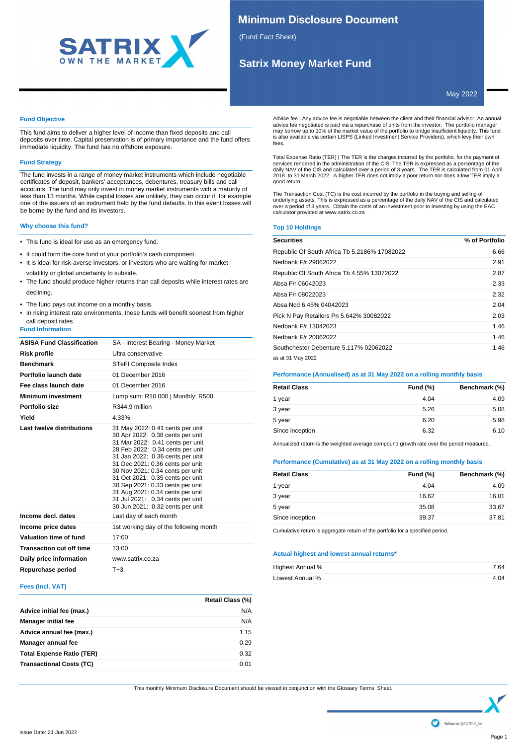

## **Minimum Disclosure Document**

(Fund Fact Sheet)

## **Satrix Money Market Fund**

May 2022

## **Fund Objective**

This fund aims to deliver a higher level of income than fixed deposits and call deposits over time. Capital preservation is of primary importance and the fund offers immediate liquidity. The fund has no offshore exposure.

### **Fund Strategy**

The fund invests in a range of money market instruments which include negotiable certificates of deposit, bankers' acceptances, debentures, treasury bills and call accounts. The fund may only invest in money market instruments with a maturity of less than 13 months. While capital losses are unlikely, they can occur if, for example one of the issuers of an instrument held by the fund defaults. In this event losses will be borne by the fund and its investors.

## **Why choose this fund?**

- This fund is ideal for use as an emergency fund.
- It could form the core fund of your portfolio's cash component.
- It is ideal for risk-averse investors, or investors who are waiting for market volatility or global uncertainty to subside.
- The fund should produce higher returns than call deposits while interest rates are declining.
- The fund pays out income on a monthly basis.
- In rising interest rate environments, these funds will benefit soonest from higher call deposit rates.

## **Fund Information**

| <b>ASISA Fund Classification</b> | SA - Interest Bearing - Money Market                                                                                                                                                                                                                                                                                                                                                                                                         |
|----------------------------------|----------------------------------------------------------------------------------------------------------------------------------------------------------------------------------------------------------------------------------------------------------------------------------------------------------------------------------------------------------------------------------------------------------------------------------------------|
| <b>Risk profile</b>              | Ultra conservative                                                                                                                                                                                                                                                                                                                                                                                                                           |
| <b>Benchmark</b>                 | STeFI Composite Index                                                                                                                                                                                                                                                                                                                                                                                                                        |
| Portfolio launch date            | 01 December 2016                                                                                                                                                                                                                                                                                                                                                                                                                             |
| Fee class launch date            | 01 December 2016                                                                                                                                                                                                                                                                                                                                                                                                                             |
| <b>Minimum investment</b>        | Lump sum: R10 000   Monthly: R500                                                                                                                                                                                                                                                                                                                                                                                                            |
| Portfolio size                   | R344.9 million                                                                                                                                                                                                                                                                                                                                                                                                                               |
| Yield                            | 4.33%                                                                                                                                                                                                                                                                                                                                                                                                                                        |
| Last twelve distributions        | 31 May 2022: 0.41 cents per unit<br>30 Apr 2022: 0.38 cents per unit<br>31 Mar 2022: 0.41 cents per unit<br>28 Feb 2022: 0.34 cents per unit<br>31 Jan 2022: 0.36 cents per unit<br>31 Dec 2021: 0.36 cents per unit<br>30 Nov 2021: 0.34 cents per unit<br>31 Oct 2021: 0.35 cents per unit<br>30 Sep 2021: 0.33 cents per unit<br>31 Aug 2021: 0.34 cents per unit<br>31 Jul 2021: 0.34 cents per unit<br>30 Jun 2021: 0.32 cents per unit |
| Income decl. dates               | Last day of each month                                                                                                                                                                                                                                                                                                                                                                                                                       |
| Income price dates               | 1st working day of the following month                                                                                                                                                                                                                                                                                                                                                                                                       |
| Valuation time of fund           | 17:00                                                                                                                                                                                                                                                                                                                                                                                                                                        |
| <b>Transaction cut off time</b>  | 13:00                                                                                                                                                                                                                                                                                                                                                                                                                                        |
| Daily price information          | www.satrix.co.za                                                                                                                                                                                                                                                                                                                                                                                                                             |
| Repurchase period                | $T + 3$                                                                                                                                                                                                                                                                                                                                                                                                                                      |

## **Fees (Incl. VAT)**

|                                  | Retail Class (%) |
|----------------------------------|------------------|
| Advice initial fee (max.)        | N/A              |
| <b>Manager initial fee</b>       | N/A              |
| Advice annual fee (max.)         | 1.15             |
| Manager annual fee               | 0.29             |
| <b>Total Expense Ratio (TER)</b> | 0.32             |
| <b>Transactional Costs (TC)</b>  | 0.01             |

Advice fee | Any advice fee is negotiable between the client and their financial advisor. An annual advice fee negotiated is paid via a repurchase of units from the investor. The portfolio manager<br>may borrow up to 10% of the market value of the portfolio to bridge insufficient liquidity. This fund<br>is also available via fees.

Total Expense Ratio (TER) | The TER is the charges incurred by the portfolio, for the payment of services rendered in the administration of the CIS. The TER is expressed as a percentage of the<br>daily NAV of the CIS and calculated over a period of 3 years. The TER is calculated from 01 April<br>2018 to 31 March 2022. A good return.

The Transaction Cost (TC) is the cost incurred by the portfolio in the buying and selling of underlying assets. This is expressed as a percentage of the daily NAV of the CIS and calculated over a period of 3 years. Obtain the costs of an investment prior to investing by using the EAC calculator provided at www.satrix.co.za

## **Top 10 Holdings**

| <b>Securities</b>                            | % of Portfolio |
|----------------------------------------------|----------------|
| Republic Of South Africa Tb 5.2186% 17082022 | 6.66           |
| Nedbank F/r 29062022                         | 2.91           |
| Republic Of South Africa Tb 4.55% 13072022   | 2.87           |
| Absa F/r 06042023                            | 2.33           |
| Absa F/r 08022023                            | 2.32           |
| Absa Ncd 6.45% 04042023                      | 2.04           |
| Pick N Pay Retailers Pn 5.642% 30082022      | 2.03           |
| Nedbank F/r 13042023                         | 1.46           |
| Nedbank F/r 20062022                         | 1.46           |
| Southchester Debenture 5.117% 02062022       | 1.46           |
| as at 31 May 2022                            |                |

## **Performance (Annualised) as at 31 May 2022 on a rolling monthly basis**

| <b>Retail Class</b> | <b>Fund (%)</b> | Benchmark (%) |
|---------------------|-----------------|---------------|
| 1 year              | 4.04            | 4.09          |
| 3 year              | 5.26            | 5.08          |
| 5 year              | 6.20            | 5.98          |
| Since inception     | 6.32            | 6.10          |
|                     |                 |               |

Annualized return is the weighted average compound growth rate over the period measured.

## **Performance (Cumulative) as at 31 May 2022 on a rolling monthly basis**

| Retail Class    | <b>Fund (%)</b> | Benchmark (%) |
|-----------------|-----------------|---------------|
| 1 year          | 4.04            | 4.09          |
| 3 year          | 16.62           | 16.01         |
| 5 year          | 35.08           | 33.67         |
| Since inception | 39.37           | 37.81         |

Cumulative return is aggregate return of the portfolio for a specified period.

## **Actual highest and lowest annual returns\***

| Highest Annual % | 7.64 |
|------------------|------|
| Lowest Annual %  | 4.04 |

This monthly Minimum Disclosure Document should be viewed in conjunction with the Glossary Terms Sheet.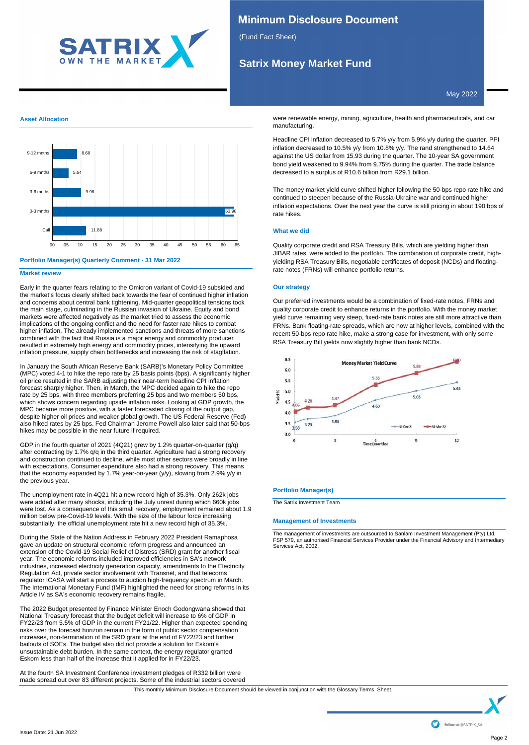

## **Minimum Disclosure Document**

(Fund Fact Sheet)

# **Satrix Money Market Fund**

May 2022

## **Asset Allocation**



## **Portfolio Manager(s) Quarterly Comment - 31 Mar 2022**

### **Market review**

Early in the quarter fears relating to the Omicron variant of Covid-19 subsided and the market's focus clearly shifted back towards the fear of continued higher inflation and concerns about central bank tightening. Mid-quarter geopolitical tensions took the main stage, culminating in the Russian invasion of Ukraine. Equity and bond markets were affected negatively as the market tried to assess the economic implications of the ongoing conflict and the need for faster rate hikes to combat higher inflation. The already implemented sanctions and threats of more sanctions combined with the fact that Russia is a major energy and commodity producer resulted in extremely high energy and commodity prices, intensifying the upward inflation pressure, supply chain bottlenecks and increasing the risk of stagflation.

In January the South African Reserve Bank (SARB)'s Monetary Policy Committee (MPC) voted 4-1 to hike the repo rate by 25 basis points (bps). A significantly higher oil price resulted in the SARB adjusting their near-term headline CPI inflation forecast sharply higher. Then, in March, the MPC decided again to hike the repo rate by 25 bps, with three members preferring 25 bps and two members 50 bps, which shows concern regarding upside inflation risks. Looking at GDP growth, the MPC became more positive, with a faster forecasted closing of the output gap, despite higher oil prices and weaker global growth. The US Federal Reserve (Fed) also hiked rates by 25 bps. Fed Chairman Jerome Powell also later said that 50-bps hikes may be possible in the near future if required.

GDP in the fourth quarter of 2021 (4Q21) grew by 1.2% quarter-on-quarter (q/q) after contracting by 1.7% q/q in the third quarter. Agriculture had a strong recovery and construction continued to decline, while most other sectors were broadly in line with expectations. Consumer expenditure also had a strong recovery. This means that the economy expanded by 1.7% year-on-year (y/y), slowing from 2.9% y/y in the previous year.

The unemployment rate in 4Q21 hit a new record high of 35.3%. Only 262k jobs were added after many shocks, including the July unrest during which 660k jobs were lost. As a consequence of this small recovery, employment remained about 1.9 million below pre-Covid-19 levels. With the size of the labour force increasing substantially, the official unemployment rate hit a new record high of 35.3%.

During the State of the Nation Address in February 2022 President Ramaphosa gave an update on structural economic reform progress and announced an extension of the Covid-19 Social Relief of Distress (SRD) grant for another fiscal year. The economic reforms included improved efficiencies in SA's network industries, increased electricity generation capacity, amendments to the Electricity Regulation Act, private sector involvement with Transnet, and that telecoms regulator ICASA will start a process to auction high-frequency spectrum in March. The International Monetary Fund (IMF) highlighted the need for strong reforms in its Article IV as SA's economic recovery remains fragile.

The 2022 Budget presented by Finance Minister Enoch Godongwana showed that National Treasury forecast that the budget deficit will increase to 6% of GDP in FY22/23 from 5.5% of GDP in the current FY21/22. Higher than expected spending risks over the forecast horizon remain in the form of public sector compensation increases, non-termination of the SRD grant at the end of FY22/23 and further bailouts of SOEs. The budget also did not provide a solution for Eskom's unsustainable debt burden. In the same context, the energy regulator granted Eskom less than half of the increase that it applied for in FY22/23.

At the fourth SA Investment Conference investment pledges of R332 billion were made spread out over 83 different projects. Some of the industrial sectors covered

were renewable energy, mining, agriculture, health and pharmaceuticals, and car manufacturing.

Headline CPI inflation decreased to 5.7% y/y from 5.9% y/y during the quarter. PPI inflation decreased to 10.5% y/y from 10.8% y/y. The rand strengthened to 14.64 against the US dollar from 15.93 during the quarter. The 10-year SA government bond yield weakened to 9.94% from 9.75% during the quarter. The trade balance decreased to a surplus of R10.6 billion from R29.1 billion.

The money market yield curve shifted higher following the 50-bps repo rate hike and continued to steepen because of the Russia-Ukraine war and continued higher inflation expectations. Over the next year the curve is still pricing in about 190 bps of rate hikes.

## **What we did**

Quality corporate credit and RSA Treasury Bills, which are yielding higher than JIBAR rates, were added to the portfolio. The combination of corporate credit, highyielding RSA Treasury Bills, negotiable certificates of deposit (NCDs) and floatingrate notes (FRNs) will enhance portfolio returns.

## **Our strategy**

Our preferred investments would be a combination of fixed-rate notes, FRNs and quality corporate credit to enhance returns in the portfolio. With the money market yield curve remaining very steep, fixed-rate bank notes are still more attractive than FRNs. Bank floating-rate spreads, which are now at higher levels, combined with the recent 50-bps repo rate hike, make a strong case for investment, with only some RSA Treasury Bill yields now slightly higher than bank NCDs.



### **Portfolio Manager(s)**

The Satrix Investment Team

### **Management of Investments**

The management of investments are outsourced to Sanlam Investment Management (Pty) Ltd, FSP 579, an authorised Financial Services Provider under the Financial Advisory and Intermediary Services Act, 2002.

This monthly Minimum Disclosure Document should be viewed in conjunction with the Glossary Terms Sheet.